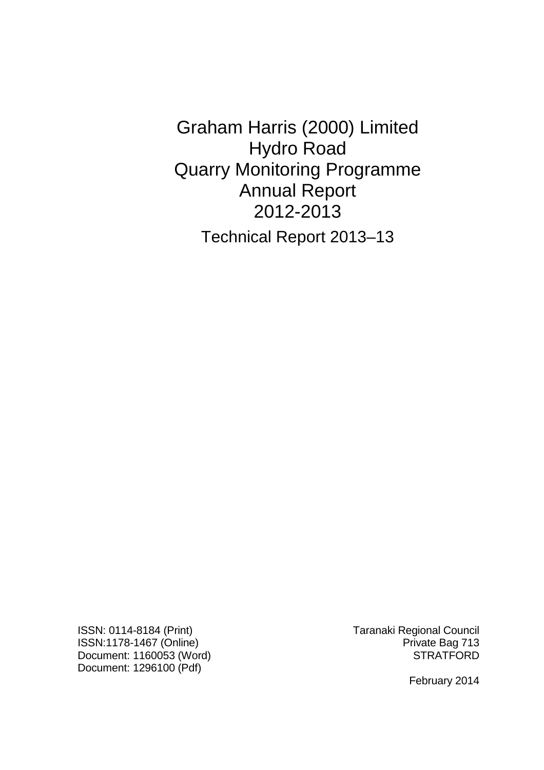Graham Harris (2000) Limited Hydro Road Quarry Monitoring Programme Annual Report 2012-2013 Technical Report 2013–13

ISSN: 0114-8184 (Print) Taranaki Regional Council ISSN:1178-1467 (Online) **Private Bag 713** Document: 1160053 (Word) STRATFORD Document: 1296100 (Pdf)

February 2014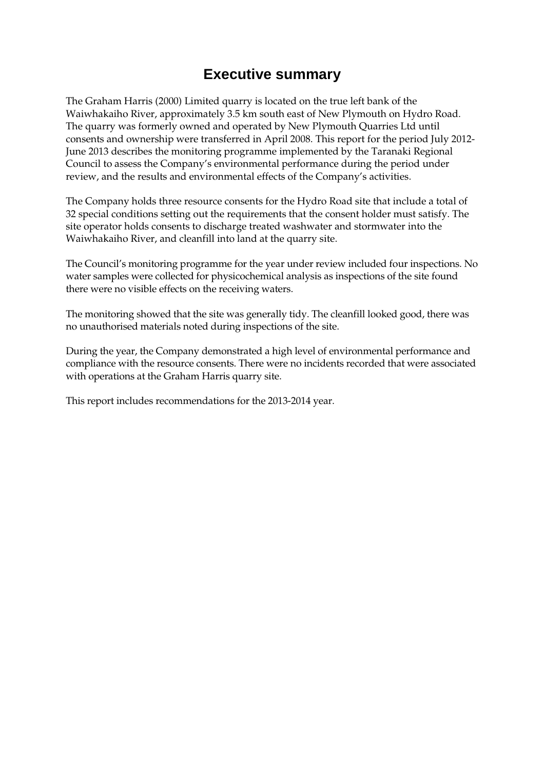# **Executive summary**

The Graham Harris (2000) Limited quarry is located on the true left bank of the Waiwhakaiho River, approximately 3.5 km south east of New Plymouth on Hydro Road. The quarry was formerly owned and operated by New Plymouth Quarries Ltd until consents and ownership were transferred in April 2008. This report for the period July 2012- June 2013 describes the monitoring programme implemented by the Taranaki Regional Council to assess the Company's environmental performance during the period under review, and the results and environmental effects of the Company's activities.

The Company holds three resource consents for the Hydro Road site that include a total of 32 special conditions setting out the requirements that the consent holder must satisfy. The site operator holds consents to discharge treated washwater and stormwater into the Waiwhakaiho River, and cleanfill into land at the quarry site.

The Council's monitoring programme for the year under review included four inspections. No water samples were collected for physicochemical analysis as inspections of the site found there were no visible effects on the receiving waters.

The monitoring showed that the site was generally tidy. The cleanfill looked good, there was no unauthorised materials noted during inspections of the site.

During the year, the Company demonstrated a high level of environmental performance and compliance with the resource consents. There were no incidents recorded that were associated with operations at the Graham Harris quarry site.

This report includes recommendations for the 2013-2014 year.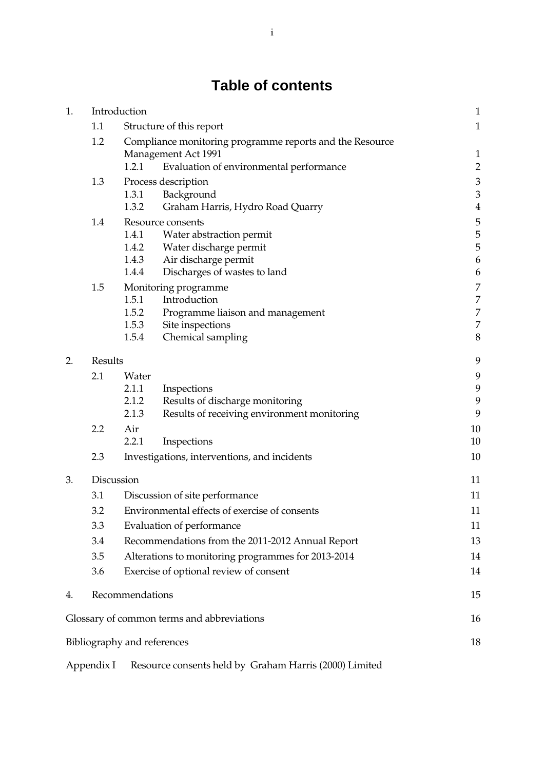# **Table of contents**

| 1. |                                               | Introduction                                                                                                                        |                                                                                                                                 | $\mathbf{1}$                                               |
|----|-----------------------------------------------|-------------------------------------------------------------------------------------------------------------------------------------|---------------------------------------------------------------------------------------------------------------------------------|------------------------------------------------------------|
|    | 1.1                                           |                                                                                                                                     | Structure of this report                                                                                                        | $\mathbf{1}$                                               |
|    | 1.2                                           | Compliance monitoring programme reports and the Resource<br>Management Act 1991<br>1.2.1<br>Evaluation of environmental performance |                                                                                                                                 |                                                            |
|    | 1.3                                           | 1.3.1<br>1.3.2                                                                                                                      | Process description<br>Background<br>Graham Harris, Hydro Road Quarry                                                           | $\overline{\mathbf{c}}$<br>$\frac{3}{3}$<br>$\overline{4}$ |
|    | 1.4                                           | 1.4.1<br>1.4.2<br>1.4.3<br>1.4.4                                                                                                    | Resource consents<br>Water abstraction permit<br>Water discharge permit<br>Air discharge permit<br>Discharges of wastes to land | 5<br>5<br>5<br>6<br>6                                      |
|    | 1.5                                           | 1.5.1<br>1.5.2<br>1.5.3<br>1.5.4                                                                                                    | Monitoring programme<br>Introduction<br>Programme liaison and management<br>Site inspections<br>Chemical sampling               | 7<br>$\overline{7}$<br>7<br>$\overline{7}$<br>8            |
| 2. | Results                                       |                                                                                                                                     |                                                                                                                                 | 9                                                          |
|    | 2.1                                           | Water<br>2.1.1<br>2.1.2<br>2.1.3                                                                                                    | Inspections<br>Results of discharge monitoring<br>Results of receiving environment monitoring                                   | 9<br>9<br>9<br>9                                           |
|    | 2.2                                           | Air<br>2.2.1                                                                                                                        | Inspections                                                                                                                     | 10<br>10                                                   |
|    | 2.3                                           |                                                                                                                                     | Investigations, interventions, and incidents                                                                                    | 10                                                         |
| 3. |                                               | Discussion                                                                                                                          |                                                                                                                                 | 11                                                         |
|    | 3.1<br>Discussion of site performance         |                                                                                                                                     | 11                                                                                                                              |                                                            |
|    | 3.2                                           | Environmental effects of exercise of consents                                                                                       |                                                                                                                                 | 11                                                         |
|    | 3.3                                           | Evaluation of performance                                                                                                           |                                                                                                                                 | 11                                                         |
|    | 3.4                                           | Recommendations from the 2011-2012 Annual Report                                                                                    |                                                                                                                                 | 13                                                         |
|    | 3.5                                           | Alterations to monitoring programmes for 2013-2014                                                                                  |                                                                                                                                 | 14                                                         |
|    | 3.6<br>Exercise of optional review of consent |                                                                                                                                     | 14                                                                                                                              |                                                            |
| 4. |                                               | Recommendations                                                                                                                     |                                                                                                                                 | 15                                                         |
|    |                                               |                                                                                                                                     | Glossary of common terms and abbreviations                                                                                      | 16                                                         |
|    |                                               | Bibliography and references                                                                                                         |                                                                                                                                 | 18                                                         |
|    |                                               |                                                                                                                                     |                                                                                                                                 |                                                            |

Appendix I Resource consents held by Graham Harris (2000) Limited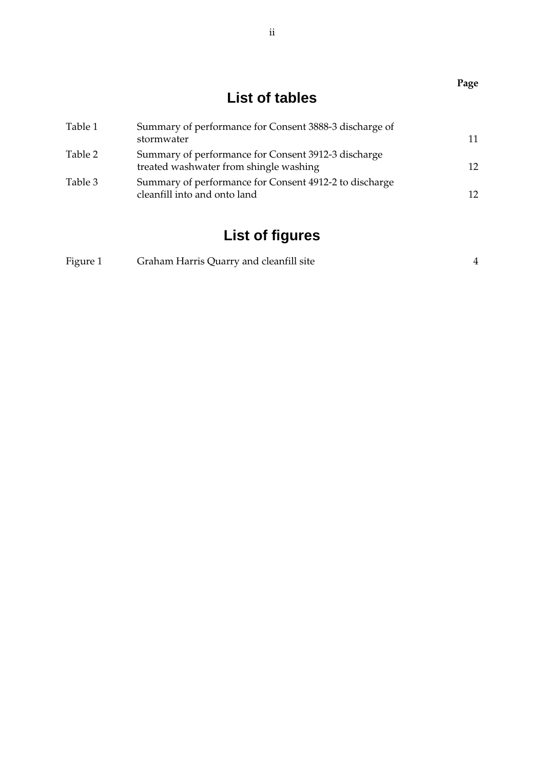|         | List of tables                                                                                |    |
|---------|-----------------------------------------------------------------------------------------------|----|
| Table 1 | Summary of performance for Consent 3888-3 discharge of<br>stormwater                          | 11 |
| Table 2 | Summary of performance for Consent 3912-3 discharge<br>treated washwater from shingle washing | 12 |
| Table 3 | Summary of performance for Consent 4912-2 to discharge<br>cleanfill into and onto land        | 12 |

# **List of figures**

| Figure 1<br>Graham Harris Quarry and cleanfill site |
|-----------------------------------------------------|
|-----------------------------------------------------|

ii

**Page**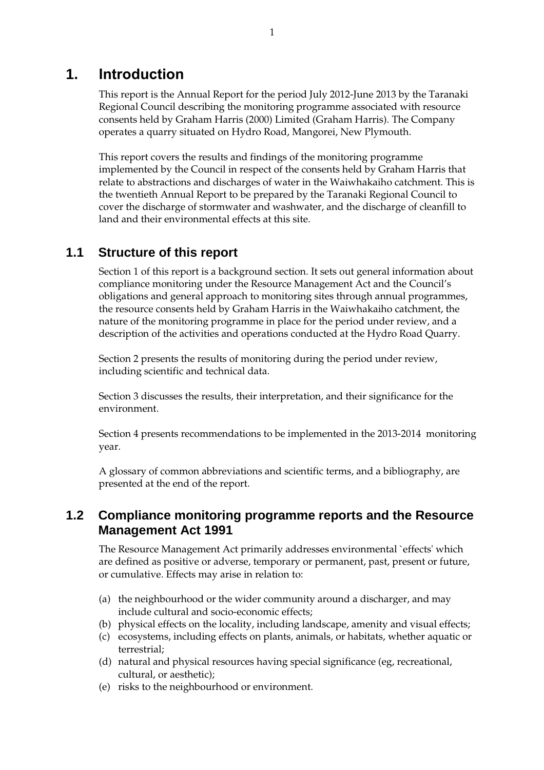## **1. Introduction**

This report is the Annual Report for the period July 2012-June 2013 by the Taranaki Regional Council describing the monitoring programme associated with resource consents held by Graham Harris (2000) Limited (Graham Harris). The Company operates a quarry situated on Hydro Road, Mangorei, New Plymouth.

This report covers the results and findings of the monitoring programme implemented by the Council in respect of the consents held by Graham Harris that relate to abstractions and discharges of water in the Waiwhakaiho catchment. This is the twentieth Annual Report to be prepared by the Taranaki Regional Council to cover the discharge of stormwater and washwater, and the discharge of cleanfill to land and their environmental effects at this site.

### **1.1 Structure of this report**

Section 1 of this report is a background section. It sets out general information about compliance monitoring under the Resource Management Act and the Council's obligations and general approach to monitoring sites through annual programmes, the resource consents held by Graham Harris in the Waiwhakaiho catchment, the nature of the monitoring programme in place for the period under review, and a description of the activities and operations conducted at the Hydro Road Quarry.

Section 2 presents the results of monitoring during the period under review, including scientific and technical data.

Section 3 discusses the results, their interpretation, and their significance for the environment.

Section 4 presents recommendations to be implemented in the 2013-2014 monitoring year.

A glossary of common abbreviations and scientific terms, and a bibliography, are presented at the end of the report.

### **1.2 Compliance monitoring programme reports and the Resource Management Act 1991**

The Resource Management Act primarily addresses environmental `effects' which are defined as positive or adverse, temporary or permanent, past, present or future, or cumulative. Effects may arise in relation to:

- (a) the neighbourhood or the wider community around a discharger, and may include cultural and socio-economic effects;
- (b) physical effects on the locality, including landscape, amenity and visual effects;
- (c) ecosystems, including effects on plants, animals, or habitats, whether aquatic or terrestrial;
- (d) natural and physical resources having special significance (eg, recreational, cultural, or aesthetic);
- (e) risks to the neighbourhood or environment.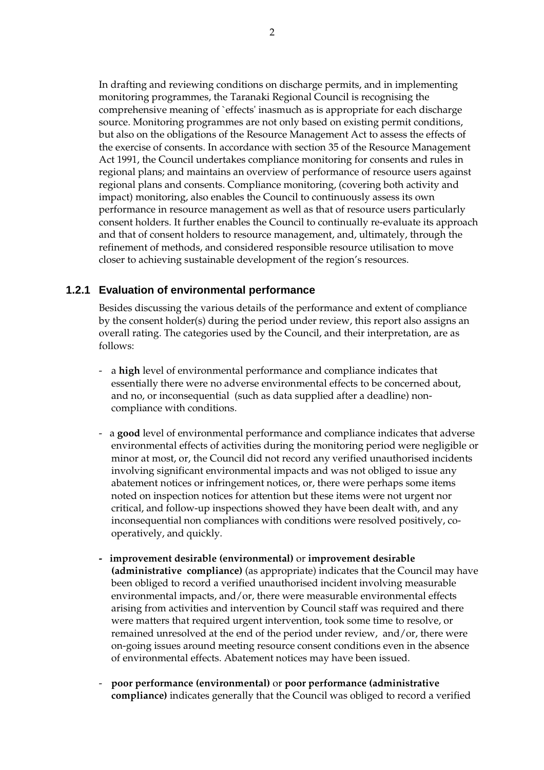In drafting and reviewing conditions on discharge permits, and in implementing monitoring programmes, the Taranaki Regional Council is recognising the comprehensive meaning of `effects' inasmuch as is appropriate for each discharge source. Monitoring programmes are not only based on existing permit conditions, but also on the obligations of the Resource Management Act to assess the effects of the exercise of consents. In accordance with section 35 of the Resource Management Act 1991, the Council undertakes compliance monitoring for consents and rules in regional plans; and maintains an overview of performance of resource users against regional plans and consents. Compliance monitoring, (covering both activity and impact) monitoring, also enables the Council to continuously assess its own performance in resource management as well as that of resource users particularly consent holders. It further enables the Council to continually re-evaluate its approach and that of consent holders to resource management, and, ultimately, through the refinement of methods, and considered responsible resource utilisation to move closer to achieving sustainable development of the region's resources.

### **1.2.1 Evaluation of environmental performance**

Besides discussing the various details of the performance and extent of compliance by the consent holder(s) during the period under review, this report also assigns an overall rating. The categories used by the Council, and their interpretation, are as follows:

- a **high** level of environmental performance and compliance indicates that essentially there were no adverse environmental effects to be concerned about, and no, or inconsequential (such as data supplied after a deadline) noncompliance with conditions.
- a **good** level of environmental performance and compliance indicates that adverse environmental effects of activities during the monitoring period were negligible or minor at most, or, the Council did not record any verified unauthorised incidents involving significant environmental impacts and was not obliged to issue any abatement notices or infringement notices, or, there were perhaps some items noted on inspection notices for attention but these items were not urgent nor critical, and follow-up inspections showed they have been dealt with, and any inconsequential non compliances with conditions were resolved positively, cooperatively, and quickly.
- **improvement desirable (environmental)** or **improvement desirable (administrative compliance)** (as appropriate) indicates that the Council may have been obliged to record a verified unauthorised incident involving measurable environmental impacts, and/or, there were measurable environmental effects arising from activities and intervention by Council staff was required and there were matters that required urgent intervention, took some time to resolve, or remained unresolved at the end of the period under review, and/or, there were on-going issues around meeting resource consent conditions even in the absence of environmental effects. Abatement notices may have been issued.
- **poor performance (environmental)** or **poor performance (administrative compliance)** indicates generally that the Council was obliged to record a verified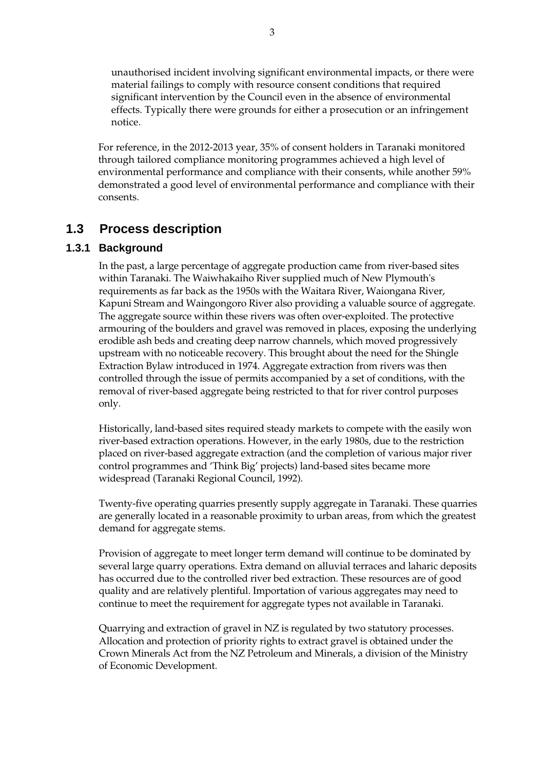unauthorised incident involving significant environmental impacts, or there were material failings to comply with resource consent conditions that required significant intervention by the Council even in the absence of environmental effects. Typically there were grounds for either a prosecution or an infringement notice.

For reference, in the 2012-2013 year, 35% of consent holders in Taranaki monitored through tailored compliance monitoring programmes achieved a high level of environmental performance and compliance with their consents, while another 59% demonstrated a good level of environmental performance and compliance with their consents.

# **1.3 Process description**

### **1.3.1 Background**

In the past, a large percentage of aggregate production came from river-based sites within Taranaki. The Waiwhakaiho River supplied much of New Plymouth's requirements as far back as the 1950s with the Waitara River, Waiongana River, Kapuni Stream and Waingongoro River also providing a valuable source of aggregate. The aggregate source within these rivers was often over-exploited. The protective armouring of the boulders and gravel was removed in places, exposing the underlying erodible ash beds and creating deep narrow channels, which moved progressively upstream with no noticeable recovery. This brought about the need for the Shingle Extraction Bylaw introduced in 1974. Aggregate extraction from rivers was then controlled through the issue of permits accompanied by a set of conditions, with the removal of river-based aggregate being restricted to that for river control purposes only.

 Historically, land-based sites required steady markets to compete with the easily won river-based extraction operations. However, in the early 1980s, due to the restriction placed on river-based aggregate extraction (and the completion of various major river control programmes and 'Think Big' projects) land-based sites became more widespread (Taranaki Regional Council, 1992).

 Twenty-five operating quarries presently supply aggregate in Taranaki. These quarries are generally located in a reasonable proximity to urban areas, from which the greatest demand for aggregate stems.

 Provision of aggregate to meet longer term demand will continue to be dominated by several large quarry operations. Extra demand on alluvial terraces and laharic deposits has occurred due to the controlled river bed extraction. These resources are of good quality and are relatively plentiful. Importation of various aggregates may need to continue to meet the requirement for aggregate types not available in Taranaki.

 Quarrying and extraction of gravel in NZ is regulated by two statutory processes. Allocation and protection of priority rights to extract gravel is obtained under the Crown Minerals Act from the NZ Petroleum and Minerals, a division of the Ministry of Economic Development.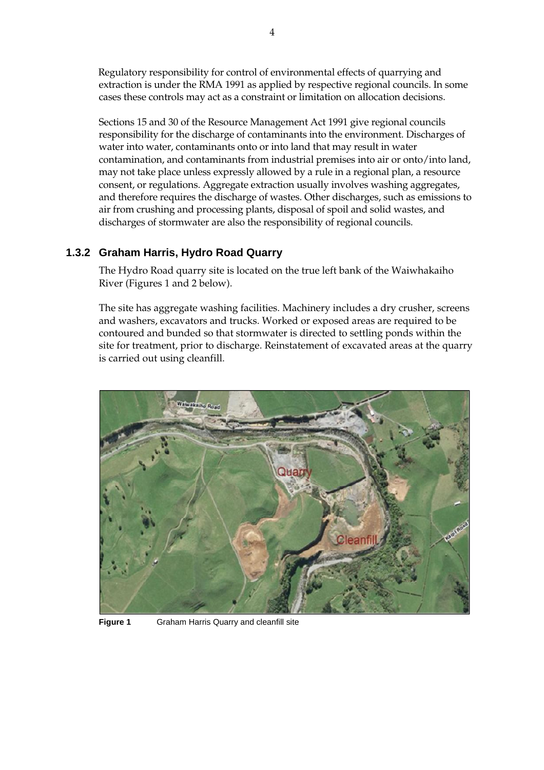Regulatory responsibility for control of environmental effects of quarrying and extraction is under the RMA 1991 as applied by respective regional councils. In some cases these controls may act as a constraint or limitation on allocation decisions.

 Sections 15 and 30 of the Resource Management Act 1991 give regional councils responsibility for the discharge of contaminants into the environment. Discharges of water into water, contaminants onto or into land that may result in water contamination, and contaminants from industrial premises into air or onto/into land, may not take place unless expressly allowed by a rule in a regional plan, a resource consent, or regulations. Aggregate extraction usually involves washing aggregates, and therefore requires the discharge of wastes. Other discharges, such as emissions to air from crushing and processing plants, disposal of spoil and solid wastes, and discharges of stormwater are also the responsibility of regional councils.

### **1.3.2 Graham Harris, Hydro Road Quarry**

The Hydro Road quarry site is located on the true left bank of the Waiwhakaiho River (Figures 1 and 2 below).

The site has aggregate washing facilities. Machinery includes a dry crusher, screens and washers, excavators and trucks. Worked or exposed areas are required to be contoured and bunded so that stormwater is directed to settling ponds within the site for treatment, prior to discharge. Reinstatement of excavated areas at the quarry is carried out using cleanfill.



**Figure 1** Graham Harris Quarry and cleanfill site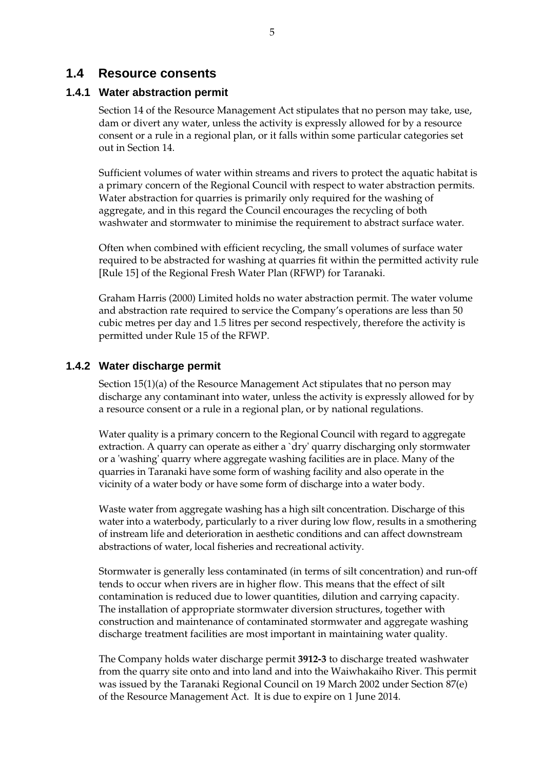### **1.4 Resource consents**

#### **1.4.1 Water abstraction permit**

Section 14 of the Resource Management Act stipulates that no person may take, use, dam or divert any water, unless the activity is expressly allowed for by a resource consent or a rule in a regional plan, or it falls within some particular categories set out in Section 14.

Sufficient volumes of water within streams and rivers to protect the aquatic habitat is a primary concern of the Regional Council with respect to water abstraction permits. Water abstraction for quarries is primarily only required for the washing of aggregate, and in this regard the Council encourages the recycling of both washwater and stormwater to minimise the requirement to abstract surface water.

Often when combined with efficient recycling, the small volumes of surface water required to be abstracted for washing at quarries fit within the permitted activity rule [Rule 15] of the Regional Fresh Water Plan (RFWP) for Taranaki.

Graham Harris (2000) Limited holds no water abstraction permit. The water volume and abstraction rate required to service the Company's operations are less than 50 cubic metres per day and 1.5 litres per second respectively, therefore the activity is permitted under Rule 15 of the RFWP.

#### **1.4.2 Water discharge permit**

Section 15(1)(a) of the Resource Management Act stipulates that no person may discharge any contaminant into water, unless the activity is expressly allowed for by a resource consent or a rule in a regional plan, or by national regulations.

 Water quality is a primary concern to the Regional Council with regard to aggregate extraction. A quarry can operate as either a `dry' quarry discharging only stormwater or a 'washing' quarry where aggregate washing facilities are in place. Many of the quarries in Taranaki have some form of washing facility and also operate in the vicinity of a water body or have some form of discharge into a water body.

 Waste water from aggregate washing has a high silt concentration. Discharge of this water into a waterbody, particularly to a river during low flow, results in a smothering of instream life and deterioration in aesthetic conditions and can affect downstream abstractions of water, local fisheries and recreational activity.

Stormwater is generally less contaminated (in terms of silt concentration) and run-off tends to occur when rivers are in higher flow. This means that the effect of silt contamination is reduced due to lower quantities, dilution and carrying capacity. The installation of appropriate stormwater diversion structures, together with construction and maintenance of contaminated stormwater and aggregate washing discharge treatment facilities are most important in maintaining water quality.

The Company holds water discharge permit **3912-3** to discharge treated washwater from the quarry site onto and into land and into the Waiwhakaiho River. This permit was issued by the Taranaki Regional Council on 19 March 2002 under Section 87(e) of the Resource Management Act. It is due to expire on 1 June 2014.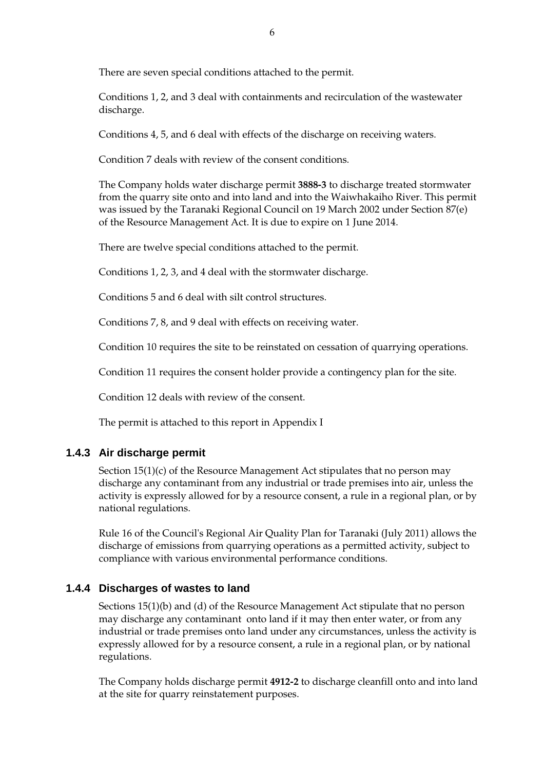There are seven special conditions attached to the permit.

Conditions 1, 2, and 3 deal with containments and recirculation of the wastewater discharge.

Conditions 4, 5, and 6 deal with effects of the discharge on receiving waters.

Condition 7 deals with review of the consent conditions.

The Company holds water discharge permit **3888-3** to discharge treated stormwater from the quarry site onto and into land and into the Waiwhakaiho River. This permit was issued by the Taranaki Regional Council on 19 March 2002 under Section 87(e) of the Resource Management Act. It is due to expire on 1 June 2014.

There are twelve special conditions attached to the permit.

Conditions 1, 2, 3, and 4 deal with the stormwater discharge.

Conditions 5 and 6 deal with silt control structures.

Conditions 7, 8, and 9 deal with effects on receiving water.

Condition 10 requires the site to be reinstated on cessation of quarrying operations.

Condition 11 requires the consent holder provide a contingency plan for the site.

Condition 12 deals with review of the consent.

The permit is attached to this report in Appendix I

### **1.4.3 Air discharge permit**

Section 15(1)(c) of the Resource Management Act stipulates that no person may discharge any contaminant from any industrial or trade premises into air, unless the activity is expressly allowed for by a resource consent, a rule in a regional plan, or by national regulations.

Rule 16 of the Council's Regional Air Quality Plan for Taranaki (July 2011) allows the discharge of emissions from quarrying operations as a permitted activity, subject to compliance with various environmental performance conditions.

### **1.4.4 Discharges of wastes to land**

Sections 15(1)(b) and (d) of the Resource Management Act stipulate that no person may discharge any contaminant onto land if it may then enter water, or from any industrial or trade premises onto land under any circumstances, unless the activity is expressly allowed for by a resource consent, a rule in a regional plan, or by national regulations.

The Company holds discharge permit **4912-2** to discharge cleanfill onto and into land at the site for quarry reinstatement purposes.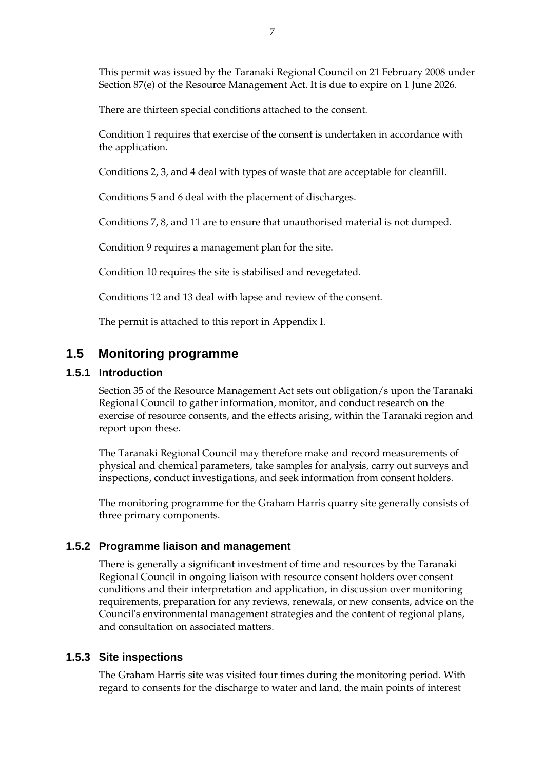This permit was issued by the Taranaki Regional Council on 21 February 2008 under Section 87(e) of the Resource Management Act. It is due to expire on 1 June 2026.

There are thirteen special conditions attached to the consent.

Condition 1 requires that exercise of the consent is undertaken in accordance with the application.

Conditions 2, 3, and 4 deal with types of waste that are acceptable for cleanfill.

Conditions 5 and 6 deal with the placement of discharges.

Conditions 7, 8, and 11 are to ensure that unauthorised material is not dumped.

Condition 9 requires a management plan for the site.

Condition 10 requires the site is stabilised and revegetated.

Conditions 12 and 13 deal with lapse and review of the consent.

The permit is attached to this report in Appendix I.

# **1.5 Monitoring programme**

#### **1.5.1 Introduction**

Section 35 of the Resource Management Act sets out obligation/s upon the Taranaki Regional Council to gather information, monitor, and conduct research on the exercise of resource consents, and the effects arising, within the Taranaki region and report upon these.

The Taranaki Regional Council may therefore make and record measurements of physical and chemical parameters, take samples for analysis, carry out surveys and inspections, conduct investigations, and seek information from consent holders.

The monitoring programme for the Graham Harris quarry site generally consists of three primary components.

#### **1.5.2 Programme liaison and management**

There is generally a significant investment of time and resources by the Taranaki Regional Council in ongoing liaison with resource consent holders over consent conditions and their interpretation and application, in discussion over monitoring requirements, preparation for any reviews, renewals, or new consents, advice on the Council's environmental management strategies and the content of regional plans, and consultation on associated matters.

#### **1.5.3 Site inspections**

The Graham Harris site was visited four times during the monitoring period. With regard to consents for the discharge to water and land, the main points of interest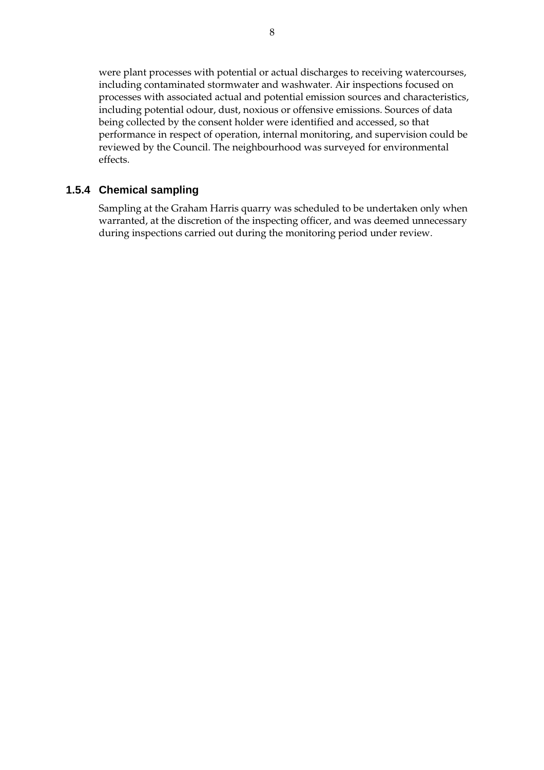were plant processes with potential or actual discharges to receiving watercourses, including contaminated stormwater and washwater. Air inspections focused on processes with associated actual and potential emission sources and characteristics, including potential odour, dust, noxious or offensive emissions. Sources of data being collected by the consent holder were identified and accessed, so that performance in respect of operation, internal monitoring, and supervision could be reviewed by the Council. The neighbourhood was surveyed for environmental effects.

### **1.5.4 Chemical sampling**

Sampling at the Graham Harris quarry was scheduled to be undertaken only when warranted, at the discretion of the inspecting officer, and was deemed unnecessary during inspections carried out during the monitoring period under review.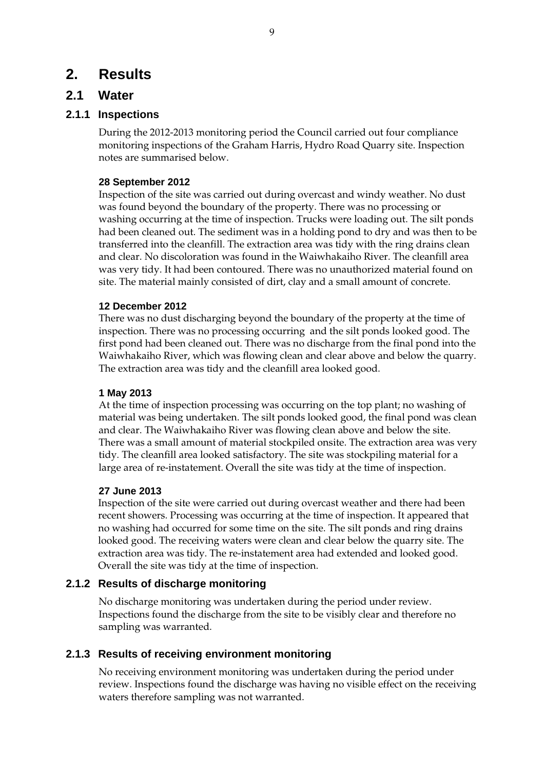# **2. Results**

### **2.1 Water**

### **2.1.1 Inspections**

During the 2012-2013 monitoring period the Council carried out four compliance monitoring inspections of the Graham Harris, Hydro Road Quarry site. Inspection notes are summarised below.

#### **28 September 2012**

Inspection of the site was carried out during overcast and windy weather. No dust was found beyond the boundary of the property. There was no processing or washing occurring at the time of inspection. Trucks were loading out. The silt ponds had been cleaned out. The sediment was in a holding pond to dry and was then to be transferred into the cleanfill. The extraction area was tidy with the ring drains clean and clear. No discoloration was found in the Waiwhakaiho River. The cleanfill area was very tidy. It had been contoured. There was no unauthorized material found on site. The material mainly consisted of dirt, clay and a small amount of concrete.

#### **12 December 2012**

There was no dust discharging beyond the boundary of the property at the time of inspection. There was no processing occurring and the silt ponds looked good. The first pond had been cleaned out. There was no discharge from the final pond into the Waiwhakaiho River, which was flowing clean and clear above and below the quarry. The extraction area was tidy and the cleanfill area looked good.

#### **1 May 2013**

At the time of inspection processing was occurring on the top plant; no washing of material was being undertaken. The silt ponds looked good, the final pond was clean and clear. The Waiwhakaiho River was flowing clean above and below the site. There was a small amount of material stockpiled onsite. The extraction area was very tidy. The cleanfill area looked satisfactory. The site was stockpiling material for a large area of re-instatement. Overall the site was tidy at the time of inspection.

#### **27 June 2013**

Inspection of the site were carried out during overcast weather and there had been recent showers. Processing was occurring at the time of inspection. It appeared that no washing had occurred for some time on the site. The silt ponds and ring drains looked good. The receiving waters were clean and clear below the quarry site. The extraction area was tidy. The re-instatement area had extended and looked good. Overall the site was tidy at the time of inspection.

### **2.1.2 Results of discharge monitoring**

No discharge monitoring was undertaken during the period under review. Inspections found the discharge from the site to be visibly clear and therefore no sampling was warranted.

### **2.1.3 Results of receiving environment monitoring**

No receiving environment monitoring was undertaken during the period under review. Inspections found the discharge was having no visible effect on the receiving waters therefore sampling was not warranted.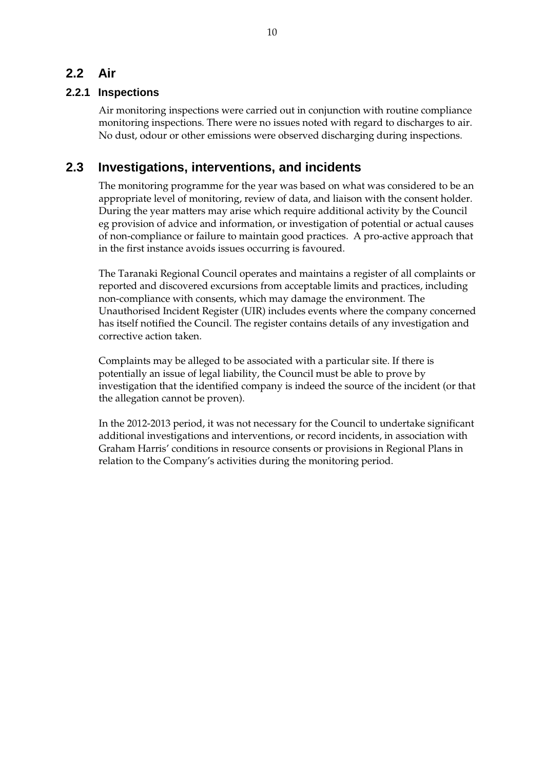# **2.2 Air**

### **2.2.1 Inspections**

Air monitoring inspections were carried out in conjunction with routine compliance monitoring inspections. There were no issues noted with regard to discharges to air. No dust, odour or other emissions were observed discharging during inspections.

## **2.3 Investigations, interventions, and incidents**

The monitoring programme for the year was based on what was considered to be an appropriate level of monitoring, review of data, and liaison with the consent holder. During the year matters may arise which require additional activity by the Council eg provision of advice and information, or investigation of potential or actual causes of non-compliance or failure to maintain good practices. A pro-active approach that in the first instance avoids issues occurring is favoured.

The Taranaki Regional Council operates and maintains a register of all complaints or reported and discovered excursions from acceptable limits and practices, including non-compliance with consents, which may damage the environment. The Unauthorised Incident Register (UIR) includes events where the company concerned has itself notified the Council. The register contains details of any investigation and corrective action taken.

Complaints may be alleged to be associated with a particular site. If there is potentially an issue of legal liability, the Council must be able to prove by investigation that the identified company is indeed the source of the incident (or that the allegation cannot be proven).

In the 2012-2013 period, it was not necessary for the Council to undertake significant additional investigations and interventions, or record incidents, in association with Graham Harris' conditions in resource consents or provisions in Regional Plans in relation to the Company's activities during the monitoring period.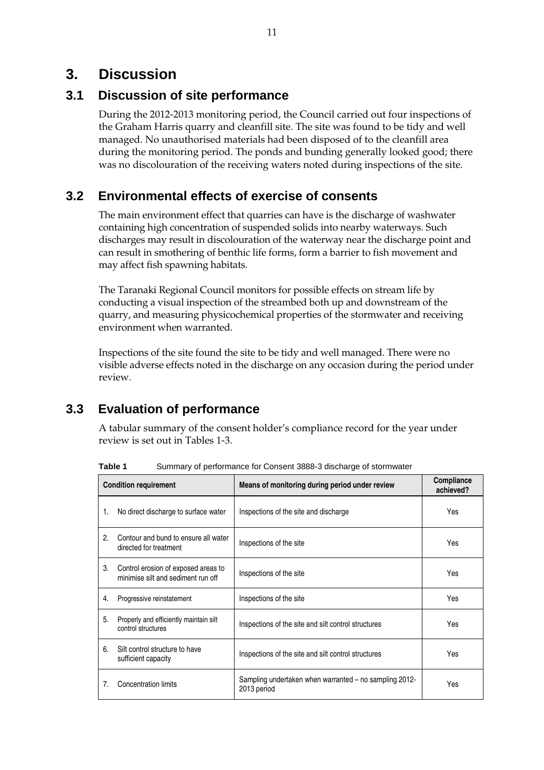# **3. Discussion**

## **3.1 Discussion of site performance**

During the 2012-2013 monitoring period, the Council carried out four inspections of the Graham Harris quarry and cleanfill site. The site was found to be tidy and well managed. No unauthorised materials had been disposed of to the cleanfill area during the monitoring period. The ponds and bunding generally looked good; there was no discolouration of the receiving waters noted during inspections of the site.

# **3.2 Environmental effects of exercise of consents**

The main environment effect that quarries can have is the discharge of washwater containing high concentration of suspended solids into nearby waterways. Such discharges may result in discolouration of the waterway near the discharge point and can result in smothering of benthic life forms, form a barrier to fish movement and may affect fish spawning habitats.

The Taranaki Regional Council monitors for possible effects on stream life by conducting a visual inspection of the streambed both up and downstream of the quarry, and measuring physicochemical properties of the stormwater and receiving environment when warranted.

Inspections of the site found the site to be tidy and well managed. There were no visible adverse effects noted in the discharge on any occasion during the period under review.

# **3.3 Evaluation of performance**

A tabular summary of the consent holder's compliance record for the year under review is set out in Tables 1-3.

|    | <b>Condition requirement</b>                                              | Means of monitoring during period under review                        | Compliance<br>achieved? |
|----|---------------------------------------------------------------------------|-----------------------------------------------------------------------|-------------------------|
| 1. | No direct discharge to surface water                                      | Inspections of the site and discharge                                 | Yes                     |
| 2  | Contour and bund to ensure all water<br>directed for treatment            | Inspections of the site                                               | Yes                     |
| 3. | Control erosion of exposed areas to<br>minimise silt and sediment run off | Inspections of the site                                               | Yes                     |
| 4. | Progressive reinstatement                                                 | Inspections of the site                                               | Yes                     |
| 5. | Properly and efficiently maintain silt<br>control structures              | Inspections of the site and silt control structures                   | Yes                     |
| 6. | Silt control structure to have<br>sufficient capacity                     | Inspections of the site and silt control structures                   | Yes                     |
| 7. | <b>Concentration limits</b>                                               | Sampling undertaken when warranted – no sampling 2012-<br>2013 period | Yes                     |

**Table 1** Summary of performance for Consent 3888-3 discharge of stormwater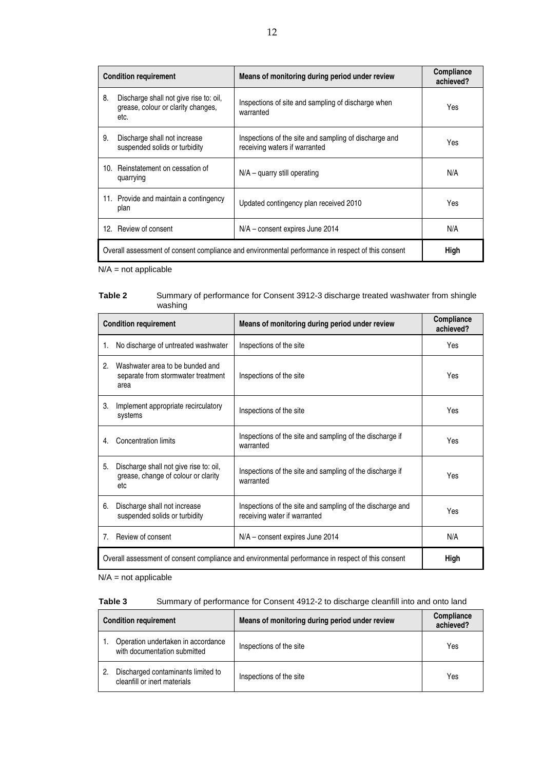|                                                                                                   | <b>Condition requirement</b>                                                         | Means of monitoring during period under review                                         | Compliance<br>achieved? |
|---------------------------------------------------------------------------------------------------|--------------------------------------------------------------------------------------|----------------------------------------------------------------------------------------|-------------------------|
| 8.                                                                                                | Discharge shall not give rise to: oil,<br>grease, colour or clarity changes,<br>etc. | Inspections of site and sampling of discharge when<br>warranted                        | <b>Yes</b>              |
| 9.                                                                                                | Discharge shall not increase<br>suspended solids or turbidity                        | Inspections of the site and sampling of discharge and<br>receiving waters if warranted | Yes                     |
| 10.                                                                                               | Reinstatement on cessation of<br>quarrying                                           | $N/A -$ quarry still operating                                                         | N/A                     |
|                                                                                                   | 11. Provide and maintain a contingency<br>plan                                       | Updated contingency plan received 2010                                                 | Yes                     |
|                                                                                                   | 12. Review of consent                                                                | N/A – consent expires June 2014                                                        | N/A                     |
| Overall assessment of consent compliance and environmental performance in respect of this consent |                                                                                      |                                                                                        | High                    |

 $N/A$  = not applicable

| Table 2 | Summary of performance for Consent 3912-3 discharge treated washwater from shingle |
|---------|------------------------------------------------------------------------------------|
|         | washing                                                                            |

| Means of monitoring during period under review<br><b>Condition requirement</b>                    |                                                                                      |                                                                                           | Compliance<br>achieved? |
|---------------------------------------------------------------------------------------------------|--------------------------------------------------------------------------------------|-------------------------------------------------------------------------------------------|-------------------------|
| 1.                                                                                                | No discharge of untreated washwater                                                  | Inspections of the site                                                                   | Yes                     |
| 2.                                                                                                | Washwater area to be bunded and<br>separate from stormwater treatment<br>area        | Inspections of the site                                                                   | Yes                     |
| 3.                                                                                                | Implement appropriate recirculatory<br>systems                                       | Inspections of the site                                                                   | Yes                     |
| 4.                                                                                                | Concentration limits                                                                 | Inspections of the site and sampling of the discharge if<br>warranted                     | Yes                     |
| 5.                                                                                                | Discharge shall not give rise to: oil,<br>grease, change of colour or clarity<br>etc | Inspections of the site and sampling of the discharge if<br>warranted                     | Yes                     |
| 6.                                                                                                | Discharge shall not increase<br>suspended solids or turbidity                        | Inspections of the site and sampling of the discharge and<br>receiving water if warranted | Yes                     |
| $7_{\scriptscriptstyle{\ddots}}$                                                                  | Review of consent                                                                    | N/A – consent expires June 2014                                                           | N/A                     |
| Overall assessment of consent compliance and environmental performance in respect of this consent |                                                                                      |                                                                                           |                         |

 $N/A$  = not applicable

#### **Table 3** Summary of performance for Consent 4912-2 to discharge cleanfill into and onto land

| <b>Condition requirement</b> |                                                                    | Means of monitoring during period under review | Compliance<br>achieved? |
|------------------------------|--------------------------------------------------------------------|------------------------------------------------|-------------------------|
|                              | Operation undertaken in accordance<br>with documentation submitted | Inspections of the site                        | Yes                     |
|                              | Discharged contaminants limited to<br>cleanfill or inert materials | Inspections of the site                        | Yes                     |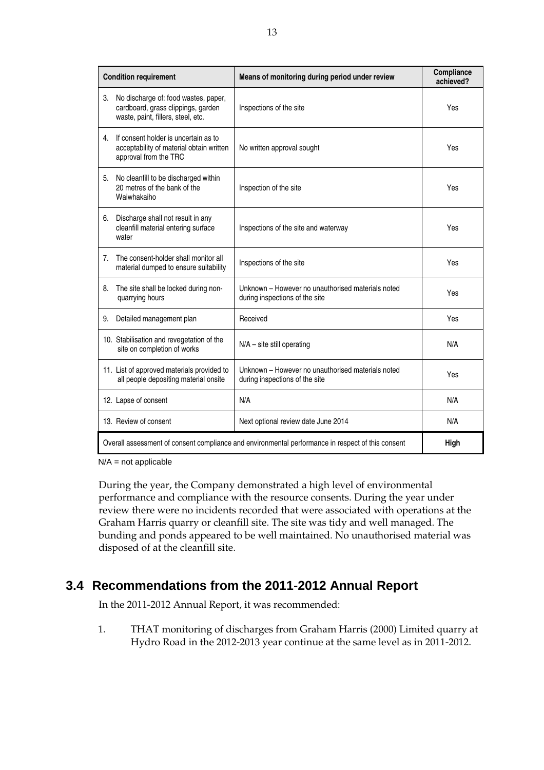|                                                                                                   | <b>Condition requirement</b>                                                                                     | Means of monitoring during period under review                                      | Compliance<br>achieved? |
|---------------------------------------------------------------------------------------------------|------------------------------------------------------------------------------------------------------------------|-------------------------------------------------------------------------------------|-------------------------|
| 3.                                                                                                | No discharge of: food wastes, paper,<br>cardboard, grass clippings, garden<br>waste, paint, fillers, steel, etc. | Inspections of the site                                                             | Yes                     |
|                                                                                                   | 4. If consent holder is uncertain as to<br>acceptability of material obtain written<br>approval from the TRC     | No written approval sought                                                          | Yes                     |
|                                                                                                   | 5. No cleanfill to be discharged within<br>20 metres of the bank of the<br>Waiwhakaiho                           | Inspection of the site                                                              | Yes                     |
| 6.                                                                                                | Discharge shall not result in any<br>cleanfill material entering surface<br>water                                | Inspections of the site and waterway                                                | Yes                     |
| 7.                                                                                                | The consent-holder shall monitor all<br>material dumped to ensure suitability                                    | Inspections of the site                                                             | Yes                     |
| 8.                                                                                                | The site shall be locked during non-<br>quarrying hours                                                          | Unknown - However no unauthorised materials noted<br>during inspections of the site | Yes                     |
| 9.                                                                                                | Detailed management plan                                                                                         | Received                                                                            | Yes                     |
|                                                                                                   | 10. Stabilisation and revegetation of the<br>site on completion of works                                         | $N/A$ – site still operating                                                        | N/A                     |
|                                                                                                   | 11. List of approved materials provided to<br>all people depositing material onsite                              | Unknown - However no unauthorised materials noted<br>during inspections of the site | Yes                     |
|                                                                                                   | 12. Lapse of consent                                                                                             | N/A                                                                                 | N/A                     |
|                                                                                                   | 13. Review of consent                                                                                            | Next optional review date June 2014                                                 | N/A                     |
| Overall assessment of consent compliance and environmental performance in respect of this consent |                                                                                                                  |                                                                                     | <b>High</b>             |

 $N/A$  = not applicable

During the year, the Company demonstrated a high level of environmental performance and compliance with the resource consents. During the year under review there were no incidents recorded that were associated with operations at the Graham Harris quarry or cleanfill site. The site was tidy and well managed. The bunding and ponds appeared to be well maintained. No unauthorised material was disposed of at the cleanfill site.

# **3.4 Recommendations from the 2011-2012 Annual Report**

In the 2011-2012 Annual Report, it was recommended:

1. THAT monitoring of discharges from Graham Harris (2000) Limited quarry at Hydro Road in the 2012-2013 year continue at the same level as in 2011-2012.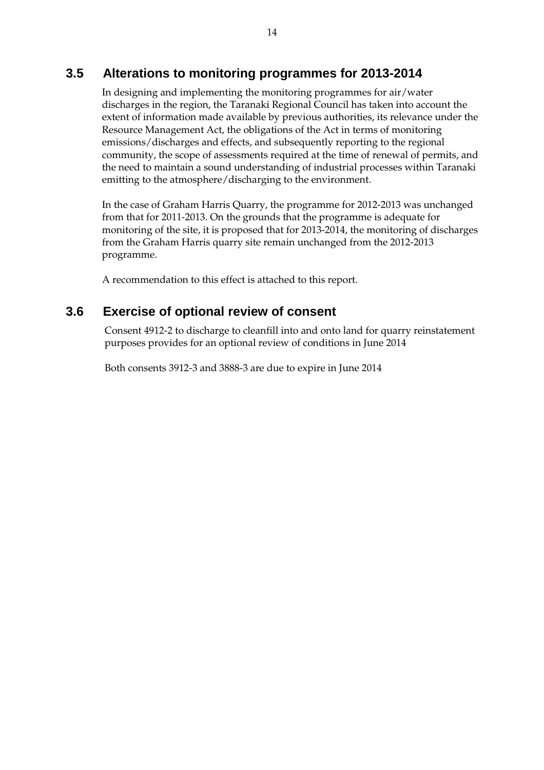### **3.5 Alterations to monitoring programmes for 2013-2014**

In designing and implementing the monitoring programmes for air/water discharges in the region, the Taranaki Regional Council has taken into account the extent of information made available by previous authorities, its relevance under the Resource Management Act, the obligations of the Act in terms of monitoring emissions/discharges and effects, and subsequently reporting to the regional community, the scope of assessments required at the time of renewal of permits, and the need to maintain a sound understanding of industrial processes within Taranaki emitting to the atmosphere/discharging to the environment.

In the case of Graham Harris Quarry, the programme for 2012-2013 was unchanged from that for 2011-2013. On the grounds that the programme is adequate for monitoring of the site, it is proposed that for 2013-2014, the monitoring of discharges from the Graham Harris quarry site remain unchanged from the 2012-2013 programme.

A recommendation to this effect is attached to this report.

### **3.6 Exercise of optional review of consent**

Consent 4912-2 to discharge to cleanfill into and onto land for quarry reinstatement purposes provides for an optional review of conditions in June 2014

Both consents 3912-3 and 3888-3 are due to expire in June 2014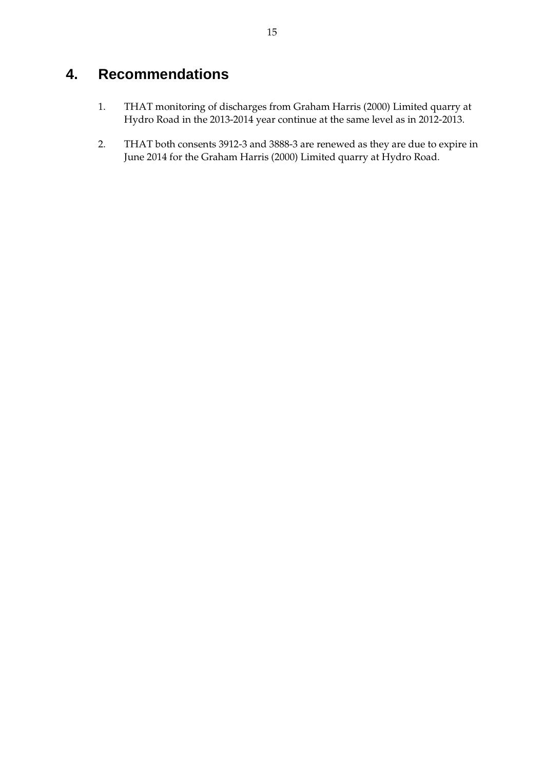# **4. Recommendations**

- 1. THAT monitoring of discharges from Graham Harris (2000) Limited quarry at Hydro Road in the 2013-2014 year continue at the same level as in 2012-2013.
- 2. THAT both consents 3912-3 and 3888-3 are renewed as they are due to expire in June 2014 for the Graham Harris (2000) Limited quarry at Hydro Road.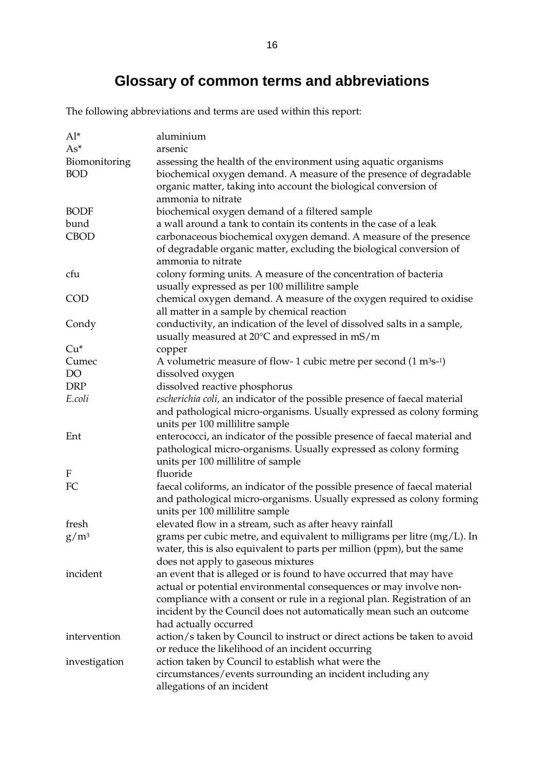# **Glossary of common terms and abbreviations**

The following abbreviations and terms are used within this report:

| $Al^*$        | aluminium                                                                              |
|---------------|----------------------------------------------------------------------------------------|
| $As^*$        | arsenic                                                                                |
| Biomonitoring | assessing the health of the environment using aquatic organisms                        |
| <b>BOD</b>    | biochemical oxygen demand. A measure of the presence of degradable                     |
|               | organic matter, taking into account the biological conversion of                       |
|               | ammonia to nitrate                                                                     |
| <b>BODF</b>   | biochemical oxygen demand of a filtered sample                                         |
| bund          | a wall around a tank to contain its contents in the case of a leak                     |
| <b>CBOD</b>   | carbonaceous biochemical oxygen demand. A measure of the presence                      |
|               | of degradable organic matter, excluding the biological conversion of                   |
|               | ammonia to nitrate                                                                     |
| cfu           | colony forming units. A measure of the concentration of bacteria                       |
|               | usually expressed as per 100 millilitre sample                                         |
| COD           | chemical oxygen demand. A measure of the oxygen required to oxidise                    |
|               | all matter in a sample by chemical reaction                                            |
| Condy         | conductivity, an indication of the level of dissolved salts in a sample,               |
|               | usually measured at $20^{\circ}$ C and expressed in mS/m                               |
| $Cu*$         | copper                                                                                 |
| Cumec         | A volumetric measure of flow- 1 cubic metre per second $(1 \text{ m}^3 \text{s}^{-1})$ |
| DO            | dissolved oxygen                                                                       |
| <b>DRP</b>    | dissolved reactive phosphorus                                                          |
| E.coli        | escherichia coli, an indicator of the possible presence of faecal material             |
|               | and pathological micro-organisms. Usually expressed as colony forming                  |
|               | units per 100 millilitre sample                                                        |
| Ent           | enterococci, an indicator of the possible presence of faecal material and              |
|               | pathological micro-organisms. Usually expressed as colony forming                      |
|               | units per 100 millilitre of sample                                                     |
| F             | fluoride                                                                               |
| FC            | faecal coliforms, an indicator of the possible presence of faecal material             |
|               | and pathological micro-organisms. Usually expressed as colony forming                  |
|               | units per 100 millilitre sample                                                        |
| fresh         | elevated flow in a stream, such as after heavy rainfall                                |
| $g/m^3$       | grams per cubic metre, and equivalent to milligrams per litre (mg/L). In               |
|               | water, this is also equivalent to parts per million (ppm), but the same                |
|               | does not apply to gaseous mixtures                                                     |
| incident      | an event that is alleged or is found to have occurred that may have                    |
|               | actual or potential environmental consequences or may involve non-                     |
|               | compliance with a consent or rule in a regional plan. Registration of an               |
|               | incident by the Council does not automatically mean such an outcome                    |
|               | had actually occurred                                                                  |
| intervention  | action/s taken by Council to instruct or direct actions be taken to avoid              |
|               | or reduce the likelihood of an incident occurring                                      |
| investigation | action taken by Council to establish what were the                                     |
|               | circumstances/events surrounding an incident including any                             |
|               | allegations of an incident                                                             |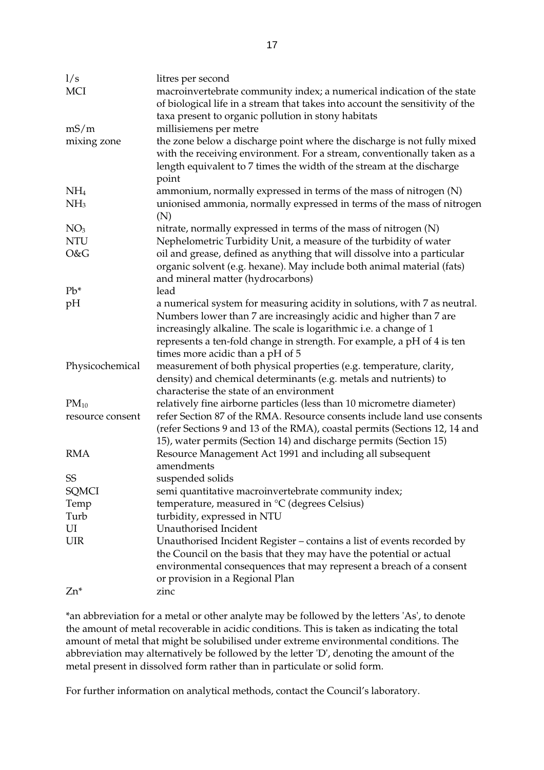| 1/s              | litres per second                                                             |
|------------------|-------------------------------------------------------------------------------|
| <b>MCI</b>       | macroinvertebrate community index; a numerical indication of the state        |
|                  | of biological life in a stream that takes into account the sensitivity of the |
|                  | taxa present to organic pollution in stony habitats                           |
| mS/m             | millisiemens per metre                                                        |
| mixing zone      | the zone below a discharge point where the discharge is not fully mixed       |
|                  | with the receiving environment. For a stream, conventionally taken as a       |
|                  | length equivalent to 7 times the width of the stream at the discharge         |
|                  | point                                                                         |
| NH <sub>4</sub>  | ammonium, normally expressed in terms of the mass of nitrogen (N)             |
| NH <sub>3</sub>  | unionised ammonia, normally expressed in terms of the mass of nitrogen        |
|                  | (N)                                                                           |
| NO <sub>3</sub>  | nitrate, normally expressed in terms of the mass of nitrogen (N)              |
| <b>NTU</b>       | Nephelometric Turbidity Unit, a measure of the turbidity of water             |
| O&G              | oil and grease, defined as anything that will dissolve into a particular      |
|                  | organic solvent (e.g. hexane). May include both animal material (fats)        |
|                  | and mineral matter (hydrocarbons)                                             |
| $Pb*$            | lead                                                                          |
| pH               | a numerical system for measuring acidity in solutions, with 7 as neutral.     |
|                  | Numbers lower than 7 are increasingly acidic and higher than 7 are            |
|                  | increasingly alkaline. The scale is logarithmic i.e. a change of 1            |
|                  | represents a ten-fold change in strength. For example, a pH of 4 is ten       |
|                  | times more acidic than a pH of 5                                              |
| Physicochemical  | measurement of both physical properties (e.g. temperature, clarity,           |
|                  | density) and chemical determinants (e.g. metals and nutrients) to             |
|                  | characterise the state of an environment                                      |
| $PM_{10}$        | relatively fine airborne particles (less than 10 micrometre diameter)         |
| resource consent | refer Section 87 of the RMA. Resource consents include land use consents      |
|                  | (refer Sections 9 and 13 of the RMA), coastal permits (Sections 12, 14 and    |
|                  | 15), water permits (Section 14) and discharge permits (Section 15)            |
| <b>RMA</b>       | Resource Management Act 1991 and including all subsequent                     |
|                  | amendments                                                                    |
| SS               | suspended solids                                                              |
| SQMCI            | semi quantitative macroinvertebrate community index;                          |
| Temp             | temperature, measured in °C (degrees Celsius)                                 |
| Turb             | turbidity, expressed in NTU                                                   |
| UI               | Unauthorised Incident                                                         |
| <b>UIR</b>       | Unauthorised Incident Register - contains a list of events recorded by        |
|                  | the Council on the basis that they may have the potential or actual           |
|                  | environmental consequences that may represent a breach of a consent           |
|                  | or provision in a Regional Plan                                               |
| $Zn^*$           | zinc                                                                          |
|                  |                                                                               |

\*an abbreviation for a metal or other analyte may be followed by the letters 'As', to denote the amount of metal recoverable in acidic conditions. This is taken as indicating the total amount of metal that might be solubilised under extreme environmental conditions. The abbreviation may alternatively be followed by the letter 'D', denoting the amount of the metal present in dissolved form rather than in particulate or solid form.

For further information on analytical methods, contact the Council's laboratory.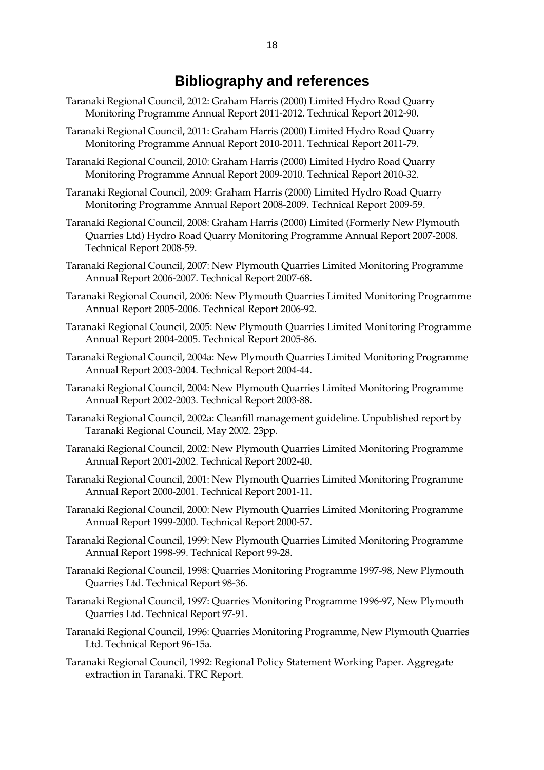# **Bibliography and references**

- Taranaki Regional Council, 2012: Graham Harris (2000) Limited Hydro Road Quarry Monitoring Programme Annual Report 2011-2012. Technical Report 2012-90.
- Taranaki Regional Council, 2011: Graham Harris (2000) Limited Hydro Road Quarry Monitoring Programme Annual Report 2010-2011. Technical Report 2011-79.
- Taranaki Regional Council, 2010: Graham Harris (2000) Limited Hydro Road Quarry Monitoring Programme Annual Report 2009-2010. Technical Report 2010-32.
- Taranaki Regional Council, 2009: Graham Harris (2000) Limited Hydro Road Quarry Monitoring Programme Annual Report 2008-2009. Technical Report 2009-59.
- Taranaki Regional Council, 2008: Graham Harris (2000) Limited (Formerly New Plymouth Quarries Ltd) Hydro Road Quarry Monitoring Programme Annual Report 2007-2008. Technical Report 2008-59.
- Taranaki Regional Council, 2007: New Plymouth Quarries Limited Monitoring Programme Annual Report 2006-2007. Technical Report 2007-68.
- Taranaki Regional Council, 2006: New Plymouth Quarries Limited Monitoring Programme Annual Report 2005-2006. Technical Report 2006-92.
- Taranaki Regional Council, 2005: New Plymouth Quarries Limited Monitoring Programme Annual Report 2004-2005. Technical Report 2005-86.
- Taranaki Regional Council, 2004a: New Plymouth Quarries Limited Monitoring Programme Annual Report 2003-2004. Technical Report 2004-44.
- Taranaki Regional Council, 2004: New Plymouth Quarries Limited Monitoring Programme Annual Report 2002-2003. Technical Report 2003-88.
- Taranaki Regional Council, 2002a: Cleanfill management guideline. Unpublished report by Taranaki Regional Council, May 2002. 23pp.
- Taranaki Regional Council, 2002: New Plymouth Quarries Limited Monitoring Programme Annual Report 2001-2002. Technical Report 2002-40.
- Taranaki Regional Council, 2001: New Plymouth Quarries Limited Monitoring Programme Annual Report 2000-2001. Technical Report 2001-11.
- Taranaki Regional Council, 2000: New Plymouth Quarries Limited Monitoring Programme Annual Report 1999-2000. Technical Report 2000-57.
- Taranaki Regional Council, 1999: New Plymouth Quarries Limited Monitoring Programme Annual Report 1998-99. Technical Report 99-28.
- Taranaki Regional Council, 1998: Quarries Monitoring Programme 1997-98, New Plymouth Quarries Ltd. Technical Report 98-36.
- Taranaki Regional Council, 1997: Quarries Monitoring Programme 1996-97, New Plymouth Quarries Ltd. Technical Report 97-91.
- Taranaki Regional Council, 1996: Quarries Monitoring Programme, New Plymouth Quarries Ltd. Technical Report 96-15a.
- Taranaki Regional Council, 1992: Regional Policy Statement Working Paper. Aggregate extraction in Taranaki. TRC Report.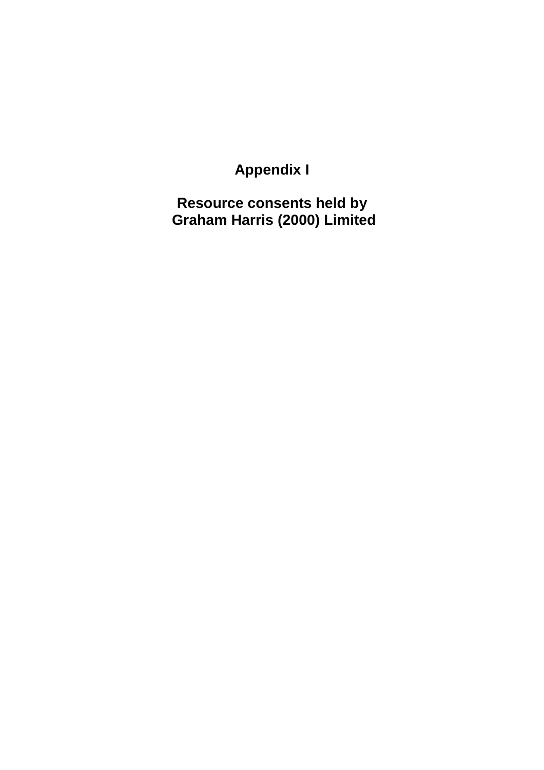**Appendix I** 

**Resource consents held by Graham Harris (2000) Limited**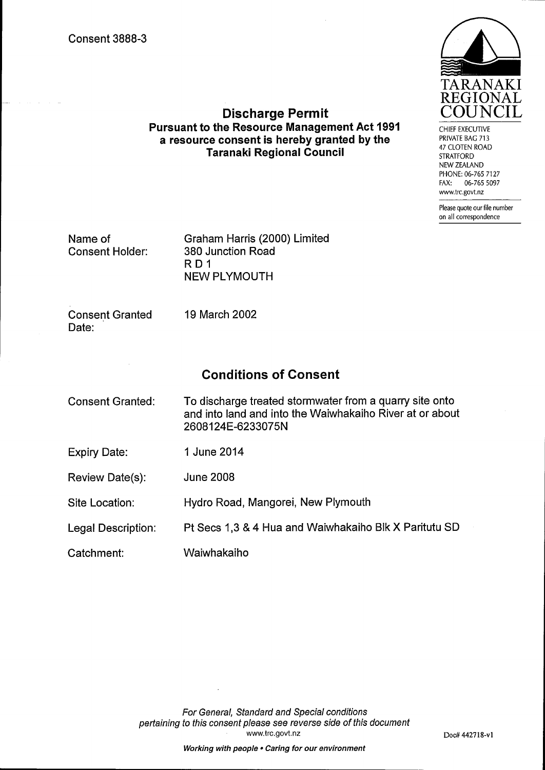

CHIEF EXECUTIVE PRIVATE BAG 713 47 CLOTEN ROAD **STRATFORD** NEW ZEALAND PHONE: 06-765 7127 06-765 5097 FAX: www.trc.govt.nz

Please quote our file number on all correspondence

Name of **Consent Holder:**  Graham Harris (2000) Limited 380 Junction Road RD<sub>1</sub> **NEW PLYMOUTH** 

**Discharge Permit Pursuant to the Resource Management Act 1991** 

a resource consent is hereby granted by the

**Taranaki Regional Council** 

**Consent Granted** Date:

19 March 2002

## **Conditions of Consent**

To discharge treated stormwater from a quarry site onto **Consent Granted:** and into land and into the Waiwhakaiho River at or about 2608124E-6233075N 1 June 2014 **Expiry Date:** 

Review Date(s): **June 2008** 

Site Location: Hydro Road, Mangorei, New Plymouth

Pt Secs 1,3 & 4 Hua and Waiwhakaiho Blk X Paritutu SD Legal Description:

Waiwhakaiho Catchment: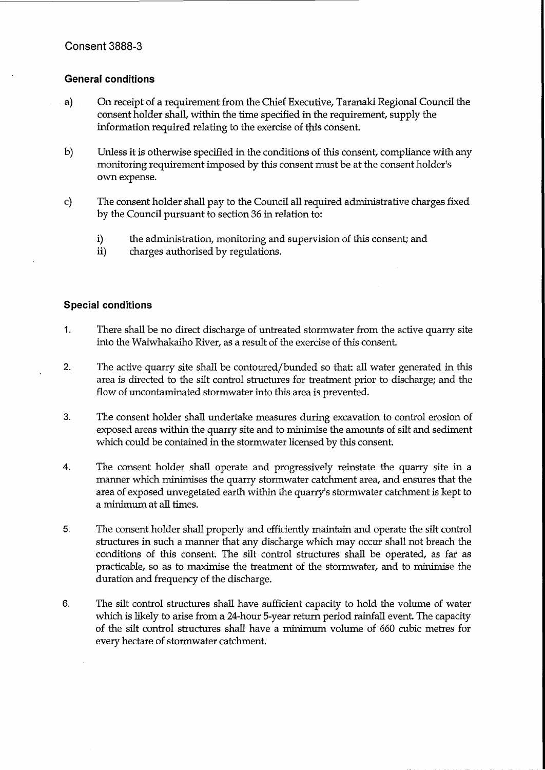#### **General conditions**

- $a)$ On receipt of a requirement from the Chief Executive, Taranaki Regional Council the consent holder shall, within the time specified in the requirement, supply the information required relating to the exercise of this consent.
- $\mathbf{b}$ Unless it is otherwise specified in the conditions of this consent, compliance with any monitoring requirement imposed by this consent must be at the consent holder's own expense.
- $\mathbf{c}$ The consent holder shall pay to the Council all required administrative charges fixed by the Council pursuant to section 36 in relation to:
	- $\mathbf{i}$ the administration, monitoring and supervision of this consent; and
	- $ii)$ charges authorised by regulations.

#### **Special conditions**

- $1.$ There shall be no direct discharge of untreated stormwater from the active quarry site into the Waiwhakaiho River, as a result of the exercise of this consent.
- $2.$ The active quarry site shall be contoured/bunded so that: all water generated in this area is directed to the silt control structures for treatment prior to discharge; and the flow of uncontaminated stormwater into this area is prevented.
- 3. The consent holder shall undertake measures during excavation to control erosion of exposed areas within the quarry site and to minimise the amounts of silt and sediment which could be contained in the stormwater licensed by this consent.
- $\overline{4}$ . The consent holder shall operate and progressively reinstate the quarry site in a manner which minimises the quarry stormwater catchment area, and ensures that the area of exposed unvegetated earth within the quarry's stormwater catchment is kept to a minimum at all times.
- 5. The consent holder shall properly and efficiently maintain and operate the silt control structures in such a manner that any discharge which may occur shall not breach the conditions of this consent. The silt control structures shall be operated, as far as practicable, so as to maximise the treatment of the stormwater, and to minimise the duration and frequency of the discharge.
- 6. The silt control structures shall have sufficient capacity to hold the volume of water which is likely to arise from a 24-hour 5-year return period rainfall event. The capacity of the silt control structures shall have a minimum volume of 660 cubic metres for every hectare of stormwater catchment.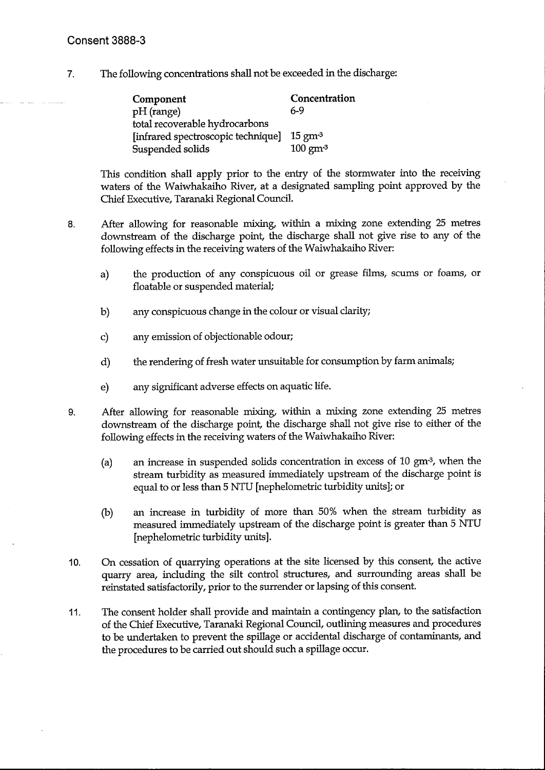$7.$ The following concentrations shall not be exceeded in the discharge:

| Component                          | Concentration      |
|------------------------------------|--------------------|
| pH (range)                         | 6-9                |
| total recoverable hydrocarbons     |                    |
| [infrared spectroscopic technique] | $15 \text{ gm}^3$  |
| Suspended solids                   | $100 \text{ gm}^3$ |

This condition shall apply prior to the entry of the stormwater into the receiving waters of the Waiwhakaiho River, at a designated sampling point approved by the Chief Executive, Taranaki Regional Council.

8.

After allowing for reasonable mixing, within a mixing zone extending 25 metres downstream of the discharge point, the discharge shall not give rise to any of the following effects in the receiving waters of the Waiwhakaiho River:

- the production of any conspicuous oil or grease films, scums or foams, or a) floatable or suspended material;
- any conspicuous change in the colour or visual clarity;  $b)$
- $\mathbf{c}$ any emission of objectionable odour;
- the rendering of fresh water unsuitable for consumption by farm animals;  $d)$
- any significant adverse effects on aquatic life. e)

After allowing for reasonable mixing, within a mixing zone extending 25 metres 9. downstream of the discharge point, the discharge shall not give rise to either of the following effects in the receiving waters of the Waiwhakaiho River:

- an increase in suspended solids concentration in excess of 10 gm<sup>-3</sup>, when the  $(a)$ stream turbidity as measured immediately upstream of the discharge point is equal to or less than 5 NTU [nephelometric turbidity units]; or
- an increase in turbidity of more than 50% when the stream turbidity as  $(b)$ measured immediately upstream of the discharge point is greater than 5 NTU [nephelometric turbidity units].
- On cessation of quarrying operations at the site licensed by this consent, the active  $10.$ quarry area, including the silt control structures, and surrounding areas shall be reinstated satisfactorily, prior to the surrender or lapsing of this consent.
- The consent holder shall provide and maintain a contingency plan, to the satisfaction  $11.$ of the Chief Executive, Taranaki Regional Council, outlining measures and procedures to be undertaken to prevent the spillage or accidental discharge of contaminants, and the procedures to be carried out should such a spillage occur.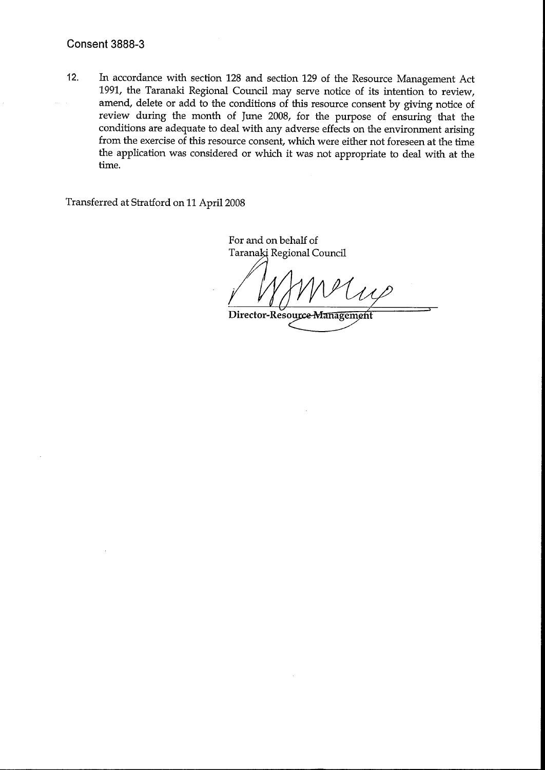#### **Consent 3888-3**

 $12.$ In accordance with section 128 and section 129 of the Resource Management Act 1991, the Taranaki Regional Council may serve notice of its intention to review, amend, delete or add to the conditions of this resource consent by giving notice of review during the month of June 2008, for the purpose of ensuring that the conditions are adequate to deal with any adverse effects on the environment arising from the exercise of this resource consent, which were either not foreseen at the time the application was considered or which it was not appropriate to deal with at the time.

Transferred at Stratford on 11 April 2008

For and on behalf of Taranaki Regional Council

Director-Resource-Management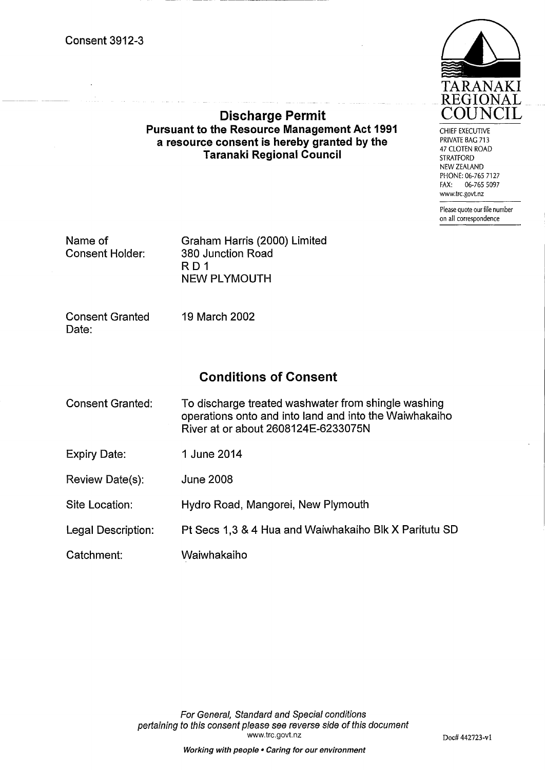

CHIEF EXECUTIVE PRIVATE BAG 713 47 CLOTEN ROAD **STRATFORD** NEW ZEALAND PHONE: 06-765 7127 06-765 5097 FAX: www.trc.govt.nz

Please quote our file number on all correspondence

Name of **Consent Holder:**  Graham Harris (2000) Limited 380 Junction Road RD<sub>1</sub> **NEW PLYMOUTH** 

**Discharge Permit Pursuant to the Resource Management Act 1991** 

a resource consent is hereby granted by the

Taranaki Regional Council

**Consent Granted** Date:

19 March 2002

# **Conditions of Consent**

| <b>Consent Granted:</b> | To discharge treated washwater from shingle washing<br>operations onto and into land and into the Waiwhakaiho<br>River at or about 2608124E-6233075N |
|-------------------------|------------------------------------------------------------------------------------------------------------------------------------------------------|
| <b>Expiry Date:</b>     | 1 June 2014                                                                                                                                          |
| Review Date(s):         | <b>June 2008</b>                                                                                                                                     |
| Site Location:          | Hydro Road, Mangorei, New Plymouth                                                                                                                   |
| Legal Description:      | Pt Secs 1,3 & 4 Hua and Waiwhakaiho Blk X Paritutu SD                                                                                                |
| Catchment:              | Waiwhakaiho                                                                                                                                          |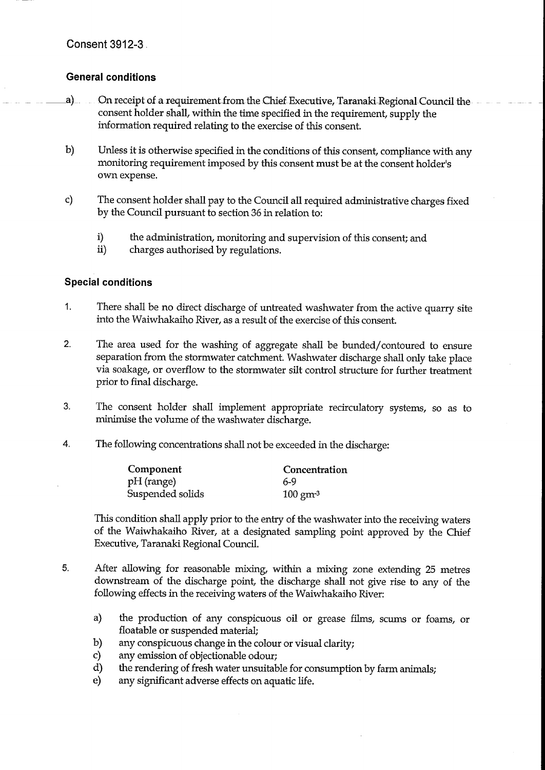#### **General conditions**

- $a)$ On receipt of a requirement from the Chief Executive, Taranaki Regional Council the consent holder shall, within the time specified in the requirement, supply the information required relating to the exercise of this consent.
- $b)$ Unless it is otherwise specified in the conditions of this consent, compliance with any monitoring requirement imposed by this consent must be at the consent holder's own expense.
- $\mathbf{c}$ The consent holder shall pay to the Council all required administrative charges fixed by the Council pursuant to section 36 in relation to:
	- $i)$ the administration, monitoring and supervision of this consent; and
	- $ii)$ charges authorised by regulations.

#### **Special conditions**

- $1.$ There shall be no direct discharge of untreated washwater from the active quarry site into the Waiwhakaiho River, as a result of the exercise of this consent.
- $2.$ The area used for the washing of aggregate shall be bunded/contoured to ensure separation from the stormwater catchment. Washwater discharge shall only take place via soakage, or overflow to the stormwater silt control structure for further treatment prior to final discharge.
- 3. The consent holder shall implement appropriate recirculatory systems, so as to minimise the volume of the washwater discharge.
- $\overline{4}$ . The following concentrations shall not be exceeded in the discharge:

| Component        | <b>Concentration</b> |
|------------------|----------------------|
| pH (range)       | 6-9                  |
| Suspended solids | $100 \text{ gm}^3$   |

This condition shall apply prior to the entry of the washwater into the receiving waters of the Waiwhakaiho River, at a designated sampling point approved by the Chief Executive, Taranaki Regional Council.

- 5. After allowing for reasonable mixing, within a mixing zone extending 25 metres downstream of the discharge point, the discharge shall not give rise to any of the following effects in the receiving waters of the Waiwhakaiho River:
	- the production of any conspicuous oil or grease films, scums or foams, or a) floatable or suspended material;
	- any conspicuous change in the colour or visual clarity; b)
	- $\mathbf{c}$ any emission of objectionable odour;
	- $\mathbf{d}$ the rendering of fresh water unsuitable for consumption by farm animals;
	- $e)$ any significant adverse effects on aquatic life.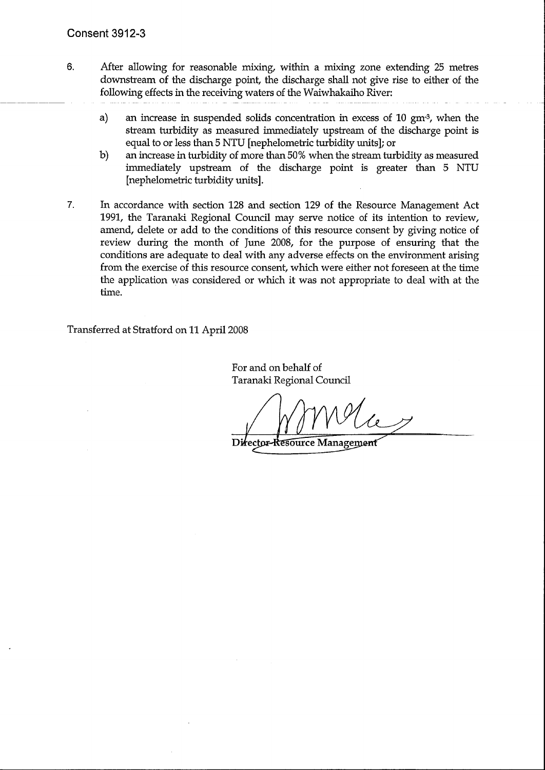- $6.$ After allowing for reasonable mixing, within a mixing zone extending 25 metres downstream of the discharge point, the discharge shall not give rise to either of the following effects in the receiving waters of the Waiwhakaiho River:
	- $a)$ an increase in suspended solids concentration in excess of 10 gm<sup>3</sup>, when the stream turbidity as measured immediately upstream of the discharge point is equal to or less than 5 NTU [nephelometric turbidity units]; or
	- $b)$ an increase in turbidity of more than 50% when the stream turbidity as measured immediately upstream of the discharge point is greater than 5 NTU [nephelometric turbidity units].
- In accordance with section 128 and section 129 of the Resource Management Act 7. 1991, the Taranaki Regional Council may serve notice of its intention to review, amend, delete or add to the conditions of this resource consent by giving notice of review during the month of June 2008, for the purpose of ensuring that the conditions are adequate to deal with any adverse effects on the environment arising from the exercise of this resource consent, which were either not foreseen at the time the application was considered or which it was not appropriate to deal with at the time.

Transferred at Stratford on 11 April 2008

For and on behalf of Taranaki Regional Council

Director-Resource Management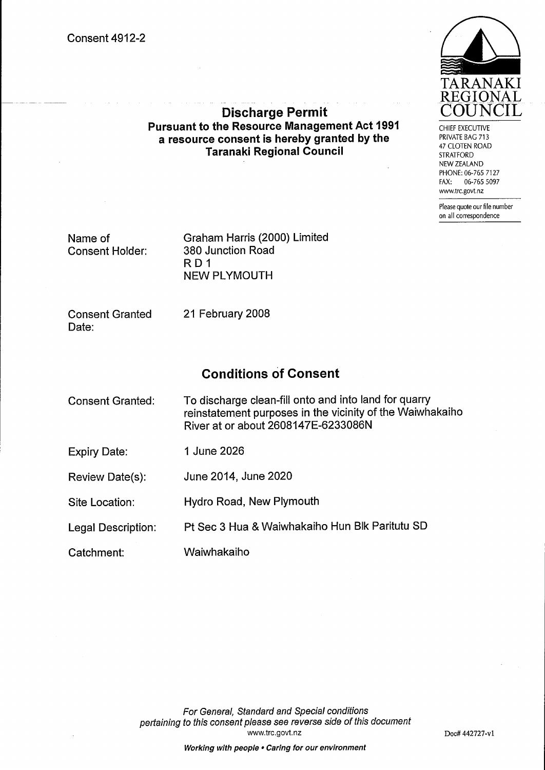

CHIEF EXECUTIVE PRIVATE BAG 713 47 CLOTEN ROAD **STRATFORD** NEW ZEALAND PHONE: 06-765 7127 FAX: 06-765 5097 www.trc.govt.nz

Please quote our file number on all correspondence

Name of **Consent Holder:**  Graham Harris (2000) Limited 380 Junction Road  $R<sub>D</sub>1$ **NEW PLYMOUTH** 

**Discharge Permit Pursuant to the Resource Management Act 1991** 

a resource consent is hereby granted by the

Taranaki Regional Council

**Consent Granted** Date:

21 February 2008

### **Conditions of Consent**

| Consent Granted: | To discharge clean-fill onto and into land for quarry     |
|------------------|-----------------------------------------------------------|
|                  | reinstatement purposes in the vicinity of the Waiwhakaiho |
|                  | River at or about 2608147E-6233086N                       |

**Expiry Date:** 1 June 2026

June 2014, June 2020 Review Date(s):

Hydro Road, New Plymouth Site Location:

Pt Sec 3 Hua & Waiwhakaiho Hun Blk Paritutu SD **Legal Description:** 

Waiwhakaiho Catchment: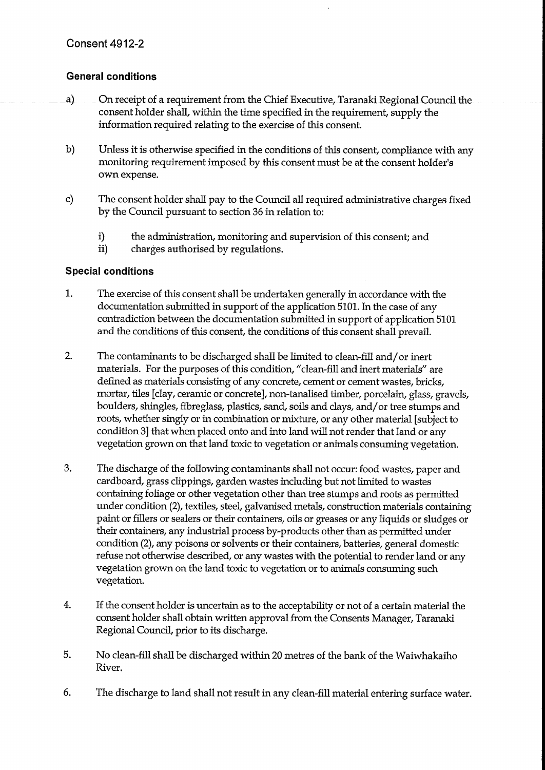### **General conditions**

- On receipt of a requirement from the Chief Executive, Taranaki Regional Council the  $a)$ consent holder shall, within the time specified in the requirement, supply the information required relating to the exercise of this consent.
- $b)$ Unless it is otherwise specified in the conditions of this consent, compliance with any monitoring requirement imposed by this consent must be at the consent holder's own expense.
- $\mathbf{c}$ The consent holder shall pay to the Council all required administrative charges fixed by the Council pursuant to section 36 in relation to:
	- i) the administration, monitoring and supervision of this consent; and
	- $ii)$ charges authorised by regulations.

### **Special conditions**

- $1.$ The exercise of this consent shall be undertaken generally in accordance with the documentation submitted in support of the application 5101. In the case of any contradiction between the documentation submitted in support of application 5101 and the conditions of this consent, the conditions of this consent shall prevail.
- $2.$ The contaminants to be discharged shall be limited to clean-fill and/or inert materials. For the purposes of this condition, "clean-fill and inert materials" are defined as materials consisting of any concrete, cement or cement wastes, bricks, mortar, tiles [clay, ceramic or concrete], non-tanalised timber, porcelain, glass, gravels, boulders, shingles, fibreglass, plastics, sand, soils and clays, and/or tree stumps and roots, whether singly or in combination or mixture, or any other material [subject to condition 3] that when placed onto and into land will not render that land or any vegetation grown on that land toxic to vegetation or animals consuming vegetation.
- 3. The discharge of the following contaminants shall not occur: food wastes, paper and cardboard, grass clippings, garden wastes including but not limited to wastes containing foliage or other vegetation other than tree stumps and roots as permitted under condition (2), textiles, steel, galvanised metals, construction materials containing paint or fillers or sealers or their containers, oils or greases or any liquids or sludges or their containers, any industrial process by-products other than as permitted under condition (2), any poisons or solvents or their containers, batteries, general domestic refuse not otherwise described, or any wastes with the potential to render land or any vegetation grown on the land toxic to vegetation or to animals consuming such vegetation.
- 4. If the consent holder is uncertain as to the acceptability or not of a certain material the consent holder shall obtain written approval from the Consents Manager, Taranaki Regional Council, prior to its discharge.
- 5. No clean-fill shall be discharged within 20 metres of the bank of the Waiwhakaiho River.
- 6. The discharge to land shall not result in any clean-fill material entering surface water.